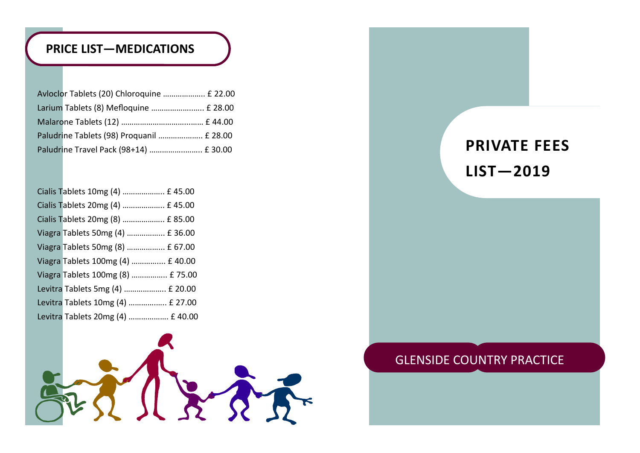## PRICE LIST—MEDICATIONS

| Avloclor Tablets (20) Chloroquine  £ 22.00 |  |
|--------------------------------------------|--|
| Larium Tablets (8) Mefloquine  £ 28.00     |  |
|                                            |  |
| Paludrine Tablets (98) Proquanil  £ 28.00  |  |
| Paludrine Travel Pack (98+14)  £ 30.00     |  |

| Cialis Tablets 10mg (4)  £ 45.00  |
|-----------------------------------|
| Cialis Tablets 20mg (4)  £ 45.00  |
| Cialis Tablets 20mg (8)  £ 85.00  |
| Viagra Tablets 50mg (4)  £ 36.00  |
| Viagra Tablets 50mg (8)  £ 67.00  |
| Viagra Tablets 100mg (4)  £ 40.00 |
| Viagra Tablets 100mg (8)  £ 75.00 |
| Levitra Tablets 5mg (4)  £ 20.00  |
| Levitra Tablets 10mg (4)  £ 27.00 |
| Levitra Tablets 20mg (4)  £ 40.00 |



# PRIVATE FEES LIST—2019

### GLENSIDE COUNTRY PRACTICE